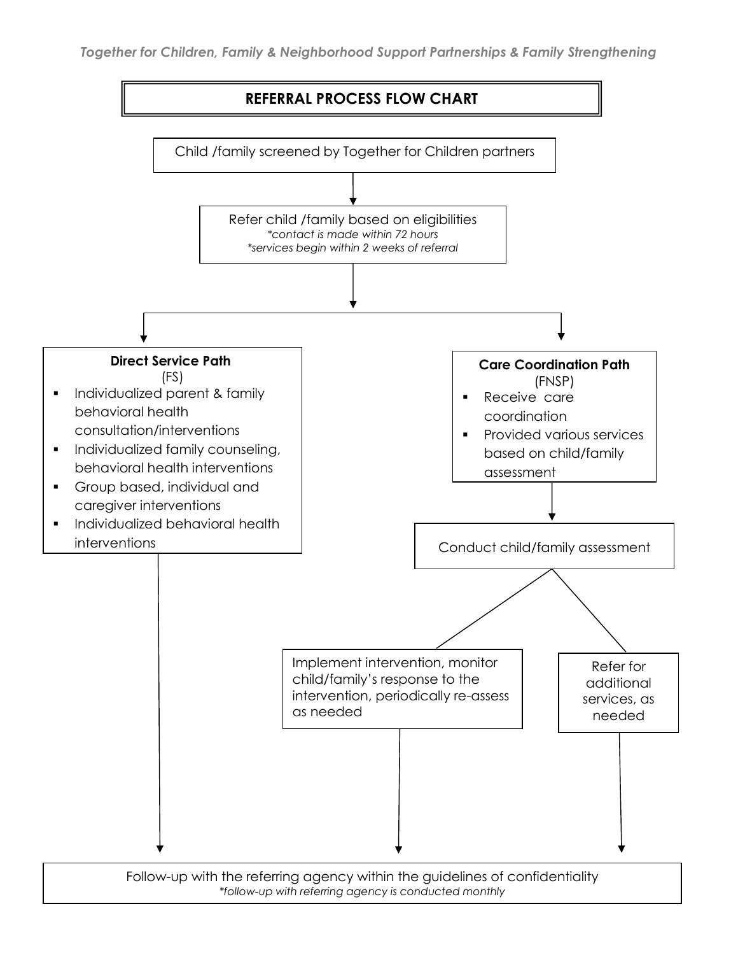

*\*follow-up with referring agency is conducted monthly*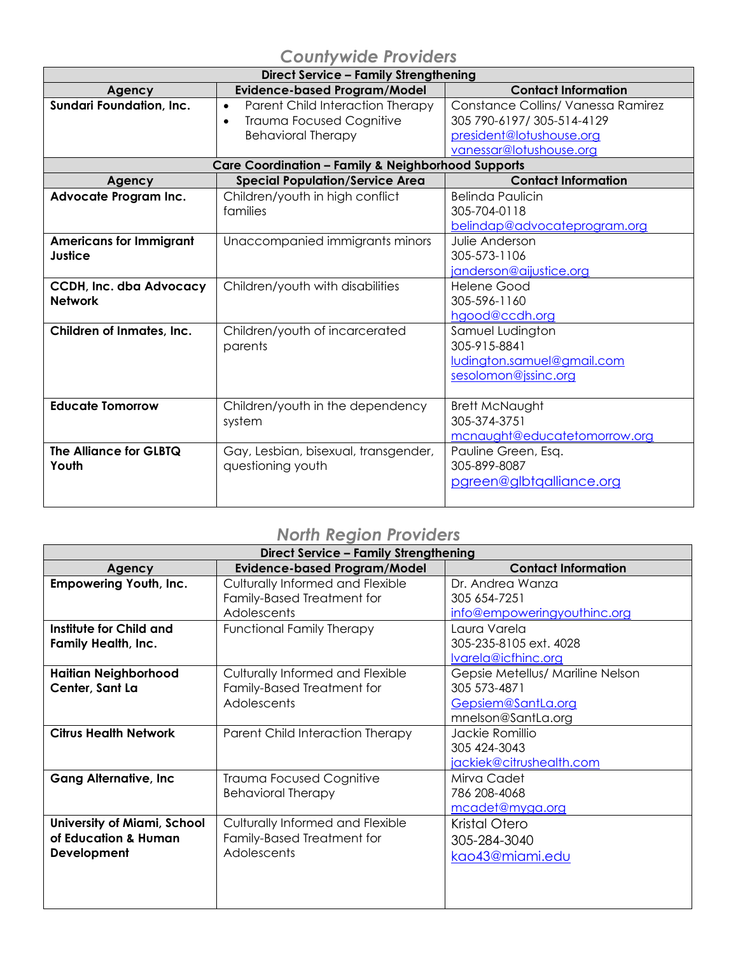## *Countywide Providers*

| <b>Direct Service - Family Strengthening</b>     |                                                                                                                            |                                                                                                                         |
|--------------------------------------------------|----------------------------------------------------------------------------------------------------------------------------|-------------------------------------------------------------------------------------------------------------------------|
| Agency                                           | <b>Evidence-based Program/Model</b>                                                                                        | <b>Contact Information</b>                                                                                              |
| Sundari Foundation, Inc.                         | Parent Child Interaction Therapy<br>$\bullet$<br><b>Trauma Focused Cognitive</b><br>$\bullet$<br><b>Behavioral Therapy</b> | Constance Collins/ Vanessa Ramirez<br>305 790-6197/ 305-514-4129<br>president@lotushouse.org<br>vanessar@lotushouse.org |
|                                                  | Care Coordination - Family & Neighborhood Supports                                                                         |                                                                                                                         |
| Agency                                           | <b>Special Population/Service Area</b>                                                                                     | <b>Contact Information</b>                                                                                              |
| Advocate Program Inc.                            | Children/youth in high conflict<br>families                                                                                | <b>Belinda Paulicin</b><br>305-704-0118<br>belindap@advocateprogram.org                                                 |
| <b>Americans for Immigrant</b><br>Justice        | Unaccompanied immigrants minors                                                                                            | Julie Anderson<br>305-573-1106<br>janderson@aijustice.org                                                               |
| <b>CCDH, Inc. dba Advocacy</b><br><b>Network</b> | Children/youth with disabilities                                                                                           | <b>Helene Good</b><br>305-596-1160<br>hgood@ccdh.org                                                                    |
| Children of Inmates, Inc.                        | Children/youth of incarcerated<br>parents                                                                                  | Samuel Ludington<br>305-915-8841<br>ludington.samuel@gmail.com<br>sesolomon@jssinc.org                                  |
| <b>Educate Tomorrow</b>                          | Children/youth in the dependency<br>system                                                                                 | <b>Brett McNaught</b><br>305-374-3751<br>mcnaught@educatetomorrow.org                                                   |
| The Alliance for GLBTQ<br>Youth                  | Gay, Lesbian, bisexual, transgender,<br>questioning youth                                                                  | Pauline Green, Esq.<br>305-899-8087<br>pgreen@glbtqalliance.org                                                         |

## *North Region Providers*

| <b>Direct Service - Family Strengthening</b>                       |                                                                                      |                                                                                              |
|--------------------------------------------------------------------|--------------------------------------------------------------------------------------|----------------------------------------------------------------------------------------------|
| Agency                                                             | <b>Evidence-based Program/Model</b>                                                  | <b>Contact Information</b>                                                                   |
| <b>Empowering Youth, Inc.</b>                                      | Culturally Informed and Flexible<br>Family-Based Treatment for<br><b>Adolescents</b> | Dr. Andrea Wanza<br>305 654-7251<br>info@empoweringyouthinc.org                              |
| Institute for Child and<br><b>Family Health, Inc.</b>              | <b>Functional Family Therapy</b>                                                     | Laura Varela<br>305-235-8105 ext. 4028<br>Ivarela@icfhinc.org                                |
| <b>Haitian Neighborhood</b><br>Center, Sant La                     | Culturally Informed and Flexible<br>Family-Based Treatment for<br>Adolescents        | Gepsie Metellus/ Mariline Nelson<br>305 573-4871<br>Gepsiem@SantLa.org<br>mnelson@SantLa.org |
| <b>Citrus Health Network</b>                                       | Parent Child Interaction Therapy                                                     | Jackie Romillio<br>305 424-3043<br>jackiek@citrushealth.com                                  |
| <b>Gang Alternative, Inc.</b>                                      | <b>Trauma Focused Cognitive</b><br><b>Behavioral Therapy</b>                         | Mirva Cadet<br>786 208-4068<br>mcadet@myga.org                                               |
| University of Miami, School<br>of Education & Human<br>Development | Culturally Informed and Flexible<br>Family-Based Treatment for<br>Adolescents        | Kristal Otero<br>305-284-3040<br>kao43@miami.edu                                             |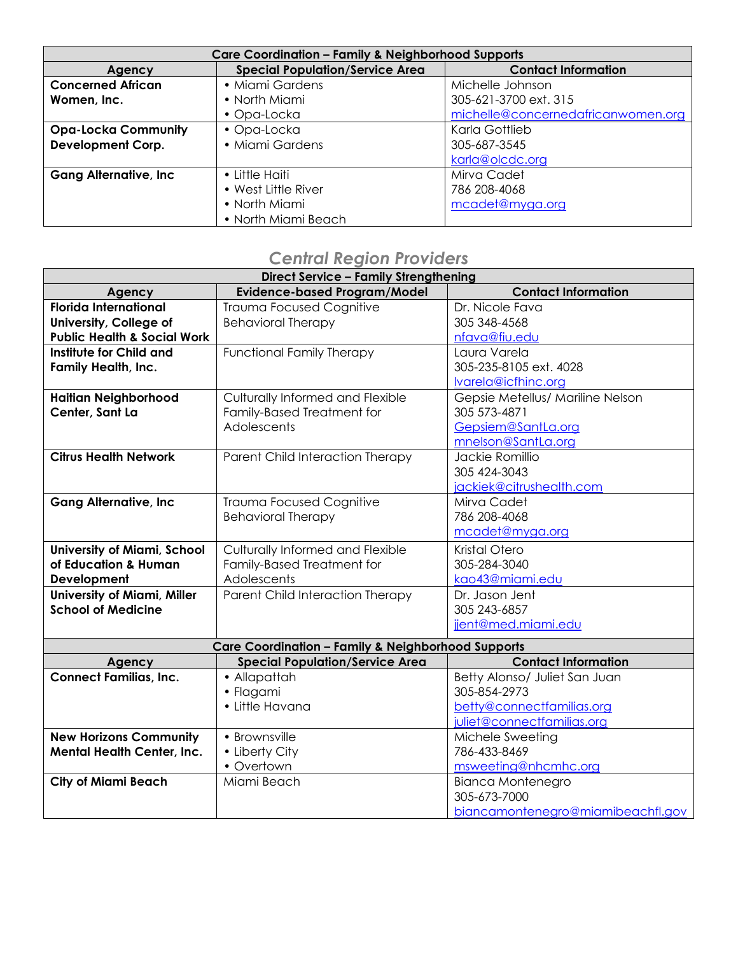| <b>Care Coordination - Family &amp; Neighborhood Supports</b> |                                        |                                    |
|---------------------------------------------------------------|----------------------------------------|------------------------------------|
| Agency                                                        | <b>Special Population/Service Area</b> | <b>Contact Information</b>         |
| <b>Concerned African</b>                                      | • Miami Gardens                        | Michelle Johnson                   |
| Women, Inc.                                                   | • North Miami                          | 305-621-3700 ext. 315              |
|                                                               | • Opa-Locka                            | michelle@concernedafricanwomen.org |
| <b>Opa-Locka Community</b>                                    | • Opa-Locka                            | Karla Gottlieb                     |
| <b>Development Corp.</b>                                      | • Miami Gardens                        | 305-687-3545                       |
|                                                               |                                        | karla@olcdc.org                    |
| <b>Gang Alternative, Inc.</b>                                 | • Little Haiti                         | Mirva Cadet                        |
|                                                               | • West Little River                    | 786 208-4068                       |
|                                                               | • North Miami                          | mcadet@myga.org                    |
|                                                               | • North Miami Beach                    |                                    |

## *Central Region Providers*

| <b>Direct Service - Family Strengthening</b> |                                                               |                                   |
|----------------------------------------------|---------------------------------------------------------------|-----------------------------------|
| Agency                                       | <b>Evidence-based Program/Model</b>                           | <b>Contact Information</b>        |
| <b>Florida International</b>                 | <b>Trauma Focused Cognitive</b>                               | Dr. Nicole Fava                   |
| University, College of                       | <b>Behavioral Therapy</b>                                     | 305 348-4568                      |
| <b>Public Health &amp; Social Work</b>       |                                                               | nfava@fiu.edu                     |
| Institute for Child and                      | <b>Functional Family Therapy</b>                              | Laura Varela                      |
| <b>Family Health, Inc.</b>                   |                                                               | 305-235-8105 ext. 4028            |
|                                              |                                                               | Ivarela@icfhinc.org               |
| <b>Haitian Neighborhood</b>                  | Culturally Informed and Flexible                              | Gepsie Metellus/ Mariline Nelson  |
| Center, Sant La                              | Family-Based Treatment for                                    | 305 573-4871                      |
|                                              | Adolescents                                                   | Gepsiem@SantLa.org                |
|                                              |                                                               | mnelson@SantLa.org                |
| <b>Citrus Health Network</b>                 | Parent Child Interaction Therapy                              | Jackie Romillio                   |
|                                              |                                                               | 305 424-3043                      |
|                                              |                                                               | jackiek@citrushealth.com          |
| <b>Gang Alternative, Inc</b>                 | <b>Trauma Focused Cognitive</b>                               | Mirva Cadet                       |
|                                              | <b>Behavioral Therapy</b>                                     | 786 208-4068                      |
|                                              |                                                               | mcadet@myga.org                   |
| <b>University of Miami, School</b>           | Culturally Informed and Flexible                              | Kristal Otero                     |
| of Education & Human                         | Family-Based Treatment for                                    | 305-284-3040                      |
| Development                                  | Adolescents                                                   | kao43@miami.edu                   |
| <b>University of Miami, Miller</b>           | Parent Child Interaction Therapy                              | Dr. Jason Jent                    |
| <b>School of Medicine</b>                    |                                                               | 305 243-6857                      |
|                                              |                                                               | jjent@med.miami.edu               |
|                                              | <b>Care Coordination - Family &amp; Neighborhood Supports</b> |                                   |
| Agency                                       | <b>Special Population/Service Area</b>                        | <b>Contact Information</b>        |
| <b>Connect Familias, Inc.</b>                | • Allapattah                                                  | Betty Alonso/ Juliet San Juan     |
|                                              | · Flagami                                                     | 305-854-2973                      |
|                                              | • Little Havana                                               | betty@connectfamilias.org         |
|                                              |                                                               | juliet@connectfamilias.org        |
| <b>New Horizons Community</b>                | • Brownsville                                                 | Michele Sweeting                  |
| <b>Mental Health Center, Inc.</b>            | • Liberty City                                                | 786-433-8469                      |
|                                              | • Overtown                                                    | msweeting@nhcmhc.org              |
| <b>City of Miami Beach</b>                   | Miami Beach                                                   | <b>Bianca Montenegro</b>          |
|                                              |                                                               | 305-673-7000                      |
|                                              |                                                               | biancamontenegro@miamibeachfl.gov |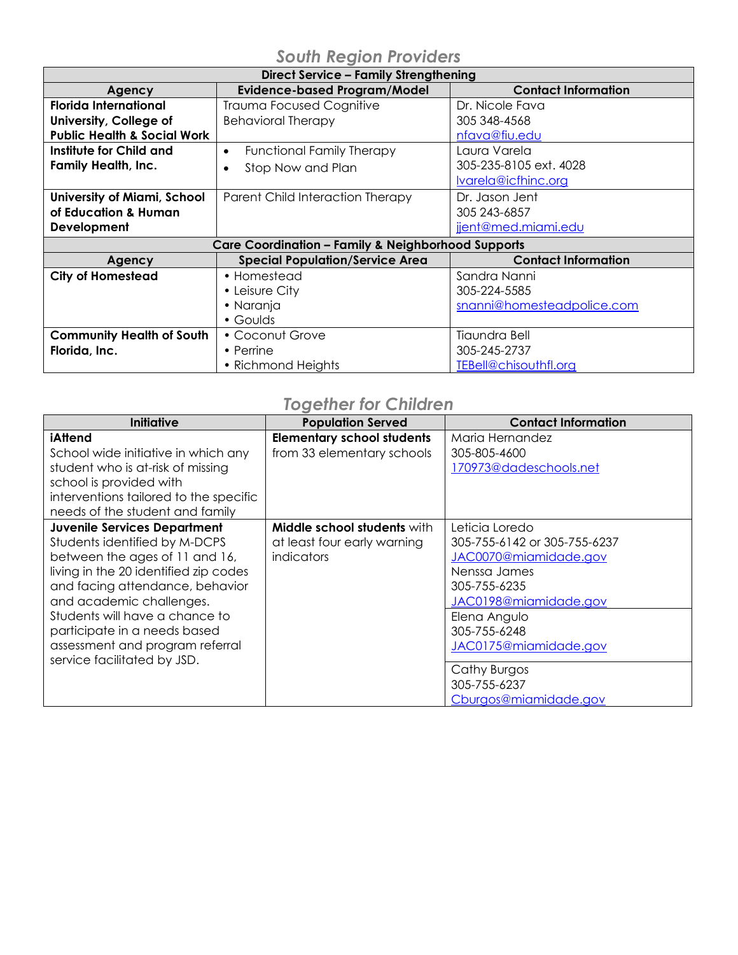| Direct Service - Family Strengthening                         |                                                                      |                            |
|---------------------------------------------------------------|----------------------------------------------------------------------|----------------------------|
| Agency                                                        | <b>Evidence-based Program/Model</b>                                  | <b>Contact Information</b> |
| Florida International                                         | <b>Trauma Focused Cognitive</b>                                      | Dr. Nicole Fava            |
| University, College of                                        | Behavioral Therapy                                                   | 305 348-4568               |
| <b>Public Health &amp; Social Work</b>                        |                                                                      | nfava@fiu.edu              |
| Institute for Child and                                       | <b>Functional Family Therapy</b><br>$\bullet$                        | Laura Varela               |
| <b>Family Health, Inc.</b>                                    | Stop Now and Plan                                                    | 305-235-8105 ext. 4028     |
|                                                               |                                                                      | Ivarela@icfhinc.org        |
| University of Miami, School                                   | Parent Child Interaction Therapy                                     | Dr. Jason Jent             |
| of Education & Human                                          |                                                                      | 305 243-6857               |
| Development                                                   |                                                                      | jent@med.miami.edu         |
| <b>Care Coordination - Family &amp; Neighborhood Supports</b> |                                                                      |                            |
| Agency                                                        | <b>Special Population/Service Area</b><br><b>Contact Information</b> |                            |
| <b>City of Homestead</b>                                      | • Homestead                                                          | Sandra Nanni               |
|                                                               | • Leisure City                                                       | 305-224-5585               |
|                                                               | • Naranja                                                            | snanni@homesteadpolice.com |
|                                                               | • Goulds                                                             |                            |
| <b>Community Health of South</b>                              | • Coconut Grove                                                      | Tiaundra Bell              |
| Florida, Inc.                                                 | • Perrine                                                            | 305-245-2737               |
|                                                               | • Richmond Heights                                                   | TEBell@chisouthfl.org      |

## *Together for Children*

| <b>Initiative</b>                                                                                                                                                                                                                                                                                                                                  | <b>Population Served</b>                                                        | <b>Contact Information</b>                                                                                                                                                                                                                         |
|----------------------------------------------------------------------------------------------------------------------------------------------------------------------------------------------------------------------------------------------------------------------------------------------------------------------------------------------------|---------------------------------------------------------------------------------|----------------------------------------------------------------------------------------------------------------------------------------------------------------------------------------------------------------------------------------------------|
| iAttend<br>School wide initiative in which any<br>student who is at-risk of missing<br>school is provided with<br>interventions tailored to the specific<br>needs of the student and family                                                                                                                                                        | <b>Elementary school students</b><br>from 33 elementary schools                 | Maria Hernandez<br>305-805-4600<br>170973@dadeschools.net                                                                                                                                                                                          |
| <b>Juvenile Services Department</b><br>Students identified by M-DCPS<br>between the ages of 11 and 16,<br>living in the 20 identified zip codes<br>and facing attendance, behavior<br>and academic challenges.<br>Students will have a chance to<br>participate in a needs based<br>assessment and program referral<br>service facilitated by JSD. | <b>Middle school students with</b><br>at least four early warning<br>indicators | Leticia Loredo<br>305-755-6142 or 305-755-6237<br>JAC0070@miamidade.gov<br>Nenssa James<br>305-755-6235<br>JAC0198@miamidade.gov<br>Elena Angulo<br>305-755-6248<br>JAC0175@miamidade.gov<br>Cathy Burgos<br>305-755-6237<br>Cburgos@miamidade.gov |